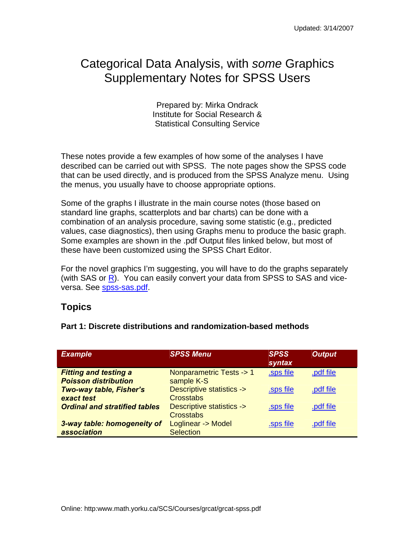## Categorical Data Analysis, with *some* Graphics Supplementary Notes for SPSS Users

Prepared by: Mirka Ondrack Institute for Social Research & Statistical Consulting Service

These notes provide a few examples of how some of the analyses I have described can be carried out with SPSS. The note pages show the SPSS code that can be used directly, and is produced from the SPSS Analyze menu. Using the menus, you usually have to choose appropriate options.

Some of the graphs I illustrate in the main course notes (those based on standard line graphs, scatterplots and bar charts) can be done with a combination of an analysis procedure, saving some statistic (e.g., predicted values, case diagnostics), then using Graphs menu to produce the basic graph. Some examples are shown in the .pdf Output files linked below, but most of these have been customized using the SPSS Chart Editor.

For the novel graphics I'm suggesting, you will have to do the graphs separately (with SAS or  $\overline{R}$ ). You can easily convert your data from SPSS to SAS and viceversa. See spss-sas.pdf.

## **Topics**

|  |  | Part 1: Discrete distributions and randomization-based methods |  |
|--|--|----------------------------------------------------------------|--|
|--|--|----------------------------------------------------------------|--|

| <b>Example</b>                                                | <b>SPSS Menu</b>                        | <b>SPSS</b><br>syntax | <b>Output</b> |
|---------------------------------------------------------------|-----------------------------------------|-----------------------|---------------|
| <b>Fitting and testing a</b>                                  | Nonparametric Tests -> 1                | .sps file             | .pdf file     |
| <b>Poisson distribution</b><br><b>Two-way table, Fisher's</b> | sample K-S<br>Descriptive statistics -> | .sps file             | .pdf file     |
| exact test                                                    | Crosstabs                               |                       |               |
| <b>Ordinal and stratified tables</b>                          | Descriptive statistics ->               | .sps file             | .pdf file     |
| 3-way table: homogeneity of                                   | Crosstabs<br>Loglinear -> Model         | .sps file             | .pdf file     |
| association                                                   | <b>Selection</b>                        |                       |               |